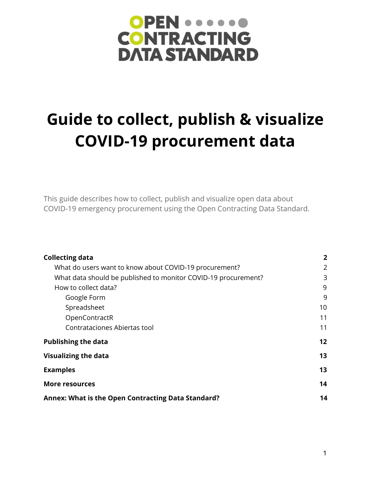# OPEN ..... **CONTRACTING DATA STANDARD**

# **Guide to collect, publish & visualize COVID-19 procurement data**

This guide describes how to collect, publish and visualize open data about COVID-19 emergency procurement using the Open Contracting Data Standard.

| <b>Collecting data</b>                                         | $\mathbf{2}$ |
|----------------------------------------------------------------|--------------|
| What do users want to know about COVID-19 procurement?         | 2            |
| What data should be published to monitor COVID-19 procurement? | 3            |
| How to collect data?                                           | 9            |
| Google Form                                                    | 9            |
| Spreadsheet                                                    | 10           |
| OpenContractR                                                  | 11           |
| Contrataciones Abiertas tool                                   | 11           |
| <b>Publishing the data</b>                                     | 12           |
| <b>Visualizing the data</b>                                    | 13           |
| <b>Examples</b>                                                | 13           |
| <b>More resources</b>                                          | 14           |
| Annex: What is the Open Contracting Data Standard?             | 14           |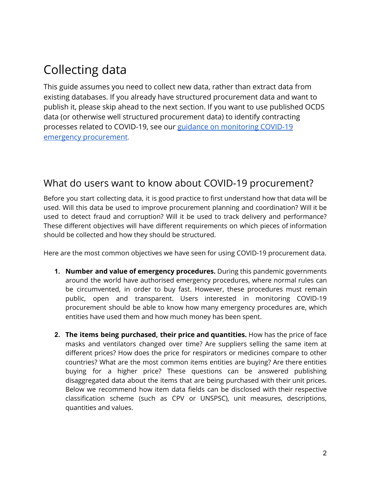## <span id="page-1-0"></span>Collecting data

This guide assumes you need to collect new data, rather than extract data from existing databases. If you already have structured procurement data and want to publish it, please skip ahead to the next section. If you want to use published OCDS data (or otherwise well structured procurement data) to identify contracting processes related to COVID-19, see our [guidance on monitoring COVID-19](https://www.open-contracting.org/2020/03/25/monitoring-covid-19-emergency-procurement-with-data/) [emergency procurement.](https://www.open-contracting.org/2020/03/25/monitoring-covid-19-emergency-procurement-with-data/)

#### <span id="page-1-2"></span><span id="page-1-1"></span>What do users want to know about COVID-19 procurement?

Before you start collecting data, it is good practice to first understand how that data will be used. Will this data be used to improve procurement planning and coordination? Will it be used to detect fraud and corruption? Will it be used to track delivery and performance? These different objectives will have different requirements on which pieces of information should be collected and how they should be structured.

Here are the most common objectives we have seen for using COVID-19 procurement data.

- **1. Number and value of emergency procedures.** During this pandemic governments around the world have authorised emergency procedures, where normal rules can be circumvented, in order to buy fast. However, these procedures must remain public, open and transparent. Users interested in monitoring COVID-19 procurement should be able to know how many emergency procedures are, which entities have used them and how much money has been spent.
- **2. The items being purchased, their price and quantities.** How has the price of face masks and ventilators changed over time? Are suppliers selling the same item at different prices? How does the price for respirators or medicines compare to other countries? What are the most common items entities are buying? Are there entities buying for a higher price? These questions can be answered publishing disaggregated data about the items that are being purchased with their unit prices. Below we recommend how item data fields can be disclosed with their respective classification scheme (such as CPV or UNSPSC), unit measures, descriptions, quantities and values.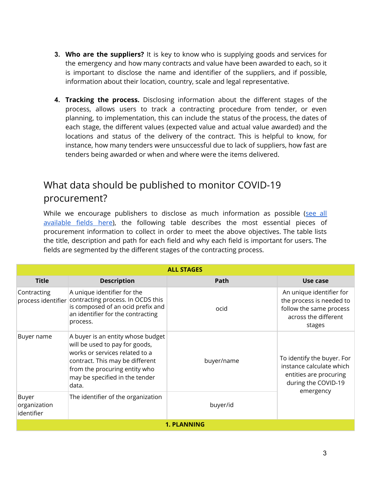- **3. Who are the suppliers?** It is key to know who is supplying goods and services for the emergency and how many contracts and value have been awarded to each, so it is important to disclose the name and identifier of the suppliers, and if possible, information about their location, country, scale and legal representative.
- **4. Tracking the process.** Disclosing information about the different stages of the process, allows users to track a contracting procedure from tender, or even planning, to implementation, this can include the status of the process, the dates of each stage, the different values (expected value and actual value awarded) and the locations and status of the delivery of the contract. This is helpful to know, for instance, how many tenders were unsuccessful due to lack of suppliers, how fast are tenders being awarded or when and where were the items delivered.

### <span id="page-2-0"></span>What data should be published to monitor COVID-19 procurement?

While we encourage publishers to disclose as much information as possible ([see](https://standard.open-contracting.org/latest/en/schema/reference/) all [available](https://standard.open-contracting.org/latest/en/schema/reference/) fields here), the following table describes the most essential pieces of procurement information to collect in order to meet the above objectives. The table lists the title, description and path for each field and why each field is important for users. The fields are segmented by the different stages of the contracting process.

|                                     |                                                                                                                                                                                                                      | <b>ALL STAGES</b> |                                                                                                                      |  |
|-------------------------------------|----------------------------------------------------------------------------------------------------------------------------------------------------------------------------------------------------------------------|-------------------|----------------------------------------------------------------------------------------------------------------------|--|
| <b>Title</b>                        | <b>Description</b>                                                                                                                                                                                                   | Path              | Use case                                                                                                             |  |
| Contracting<br>process identifier   | A unique identifier for the<br>contracting process. In OCDS this<br>is composed of an ocid prefix and<br>an identifier for the contracting<br>process.                                                               | ocid              | An unique identifier for<br>the process is needed to<br>follow the same process<br>across the different<br>stages    |  |
| Buyer name                          | A buyer is an entity whose budget<br>will be used to pay for goods,<br>works or services related to a<br>contract. This may be different<br>from the procuring entity who<br>may be specified in the tender<br>data. | buyer/name        | To identify the buyer. For<br>instance calculate which<br>entities are procuring<br>during the COVID-19<br>emergency |  |
| Buyer<br>organization<br>identifier | The identifier of the organization                                                                                                                                                                                   | buyer/id          |                                                                                                                      |  |
|                                     | <b>1. PLANNING</b>                                                                                                                                                                                                   |                   |                                                                                                                      |  |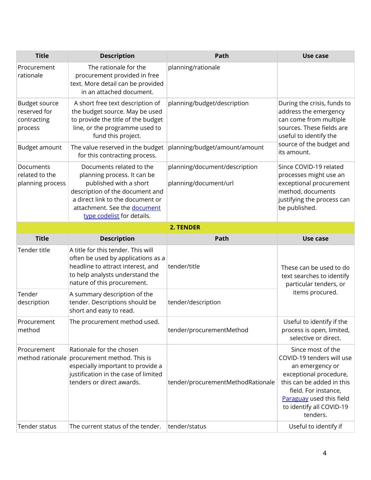| <b>Title</b>                                            | <b>Description</b>                                                                                                                                                                                                     | Path                                                   | Use case                                                                                                                                                                                                             |
|---------------------------------------------------------|------------------------------------------------------------------------------------------------------------------------------------------------------------------------------------------------------------------------|--------------------------------------------------------|----------------------------------------------------------------------------------------------------------------------------------------------------------------------------------------------------------------------|
| Procurement<br>rationale                                | The rationale for the<br>procurement provided in free<br>text. More detail can be provided<br>in an attached document.                                                                                                 | planning/rationale                                     |                                                                                                                                                                                                                      |
| Budget source<br>reserved for<br>contracting<br>process | A short free text description of<br>the budget source. May be used<br>to provide the title of the budget<br>line, or the programme used to<br>fund this project.                                                       | planning/budget/description                            | During the crisis, funds to<br>address the emergency<br>can come from multiple<br>sources. These fields are<br>useful to identify the                                                                                |
| Budget amount                                           | The value reserved in the budget<br>for this contracting process.                                                                                                                                                      | planning/budget/amount/amount                          | source of the budget and<br>its amount.                                                                                                                                                                              |
| Documents<br>related to the<br>planning process         | Documents related to the<br>planning process. It can be<br>published with a short<br>description of the document and<br>a direct link to the document or<br>attachment. See the document<br>type codelist for details. | planning/document/description<br>planning/document/url | Since COVID-19 related<br>processes might use an<br>exceptional procurement<br>method, documents<br>justifying the process can<br>be published.                                                                      |
|                                                         |                                                                                                                                                                                                                        | 2. TENDER                                              |                                                                                                                                                                                                                      |
| <b>Title</b>                                            | <b>Description</b>                                                                                                                                                                                                     | Path                                                   | Use case                                                                                                                                                                                                             |
| Tender title                                            | A title for this tender. This will<br>often be used by applications as a<br>headline to attract interest, and<br>to help analysts understand the<br>nature of this procurement.                                        | tender/title                                           | These can be used to do<br>text searches to identify<br>particular tenders, or                                                                                                                                       |
| Tender<br>description                                   | A summary description of the<br>tender. Descriptions should be<br>short and easy to read.                                                                                                                              | tender/description                                     | items procured.                                                                                                                                                                                                      |
| Procurement<br>method                                   | The procurement method used.                                                                                                                                                                                           | tender/procurementMethod                               | Useful to identify if the<br>process is open, limited,<br>selective or direct.                                                                                                                                       |
| Procurement                                             | Rationale for the chosen<br>method rationale procurement method. This is<br>especially important to provide a<br>justification in the case of limited<br>tenders or direct awards.                                     | tender/procurementMethodRationale                      | Since most of the<br>COVID-19 tenders will use<br>an emergency or<br>exceptional procedure,<br>this can be added in this<br>field. For instance,<br>Paraguay used this field<br>to identify all COVID-19<br>tenders. |
| Tender status                                           | The current status of the tender.                                                                                                                                                                                      | tender/status                                          | Useful to identify if                                                                                                                                                                                                |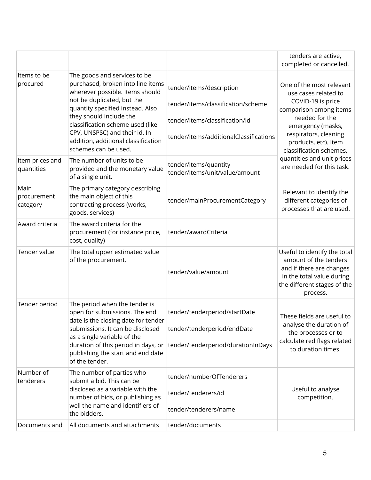|                                 |                                                                                                                                                                                                                                                                                                                                       |                                                                                                                                            | tenders are active,<br>completed or cancelled.                                                                                                                                                                     |
|---------------------------------|---------------------------------------------------------------------------------------------------------------------------------------------------------------------------------------------------------------------------------------------------------------------------------------------------------------------------------------|--------------------------------------------------------------------------------------------------------------------------------------------|--------------------------------------------------------------------------------------------------------------------------------------------------------------------------------------------------------------------|
| Items to be<br>procured         | The goods and services to be<br>purchased, broken into line items<br>wherever possible. Items should<br>not be duplicated, but the<br>quantity specified instead. Also<br>they should include the<br>classification scheme used (like<br>CPV, UNSPSC) and their id. In<br>addition, additional classification<br>schemes can be used. | tender/items/description<br>tender/items/classification/scheme<br>tender/items/classification/id<br>tender/items/additionalClassifications | One of the most relevant<br>use cases related to<br>COVID-19 is price<br>comparison among items<br>needed for the<br>emergency (masks,<br>respirators, cleaning<br>products, etc). Item<br>classification schemes, |
| Item prices and<br>quantities   | The number of units to be<br>provided and the monetary value<br>of a single unit.                                                                                                                                                                                                                                                     | tender/items/quantity<br>tender/items/unit/value/amount                                                                                    | quantities and unit prices<br>are needed for this task.                                                                                                                                                            |
| Main<br>procurement<br>category | The primary category describing<br>the main object of this<br>contracting process (works,<br>goods, services)                                                                                                                                                                                                                         | tender/mainProcurementCategory                                                                                                             | Relevant to identify the<br>different categories of<br>processes that are used.                                                                                                                                    |
| Award criteria                  | The award criteria for the<br>procurement (for instance price,<br>cost, quality)                                                                                                                                                                                                                                                      | tender/awardCriteria                                                                                                                       |                                                                                                                                                                                                                    |
| Tender value                    | The total upper estimated value<br>of the procurement.                                                                                                                                                                                                                                                                                | tender/value/amount                                                                                                                        | Useful to identify the total<br>amount of the tenders<br>and if there are changes<br>in the total value during<br>the different stages of the<br>process.                                                          |
| Tender period                   | The period when the tender is<br>open for submissions. The end<br>date is the closing date for tender<br>submissions. It can be disclosed<br>as a single variable of the<br>duration of this period in days, or<br>publishing the start and end date<br>of the tender.                                                                | tender/tenderperiod/startDate<br>tender/tenderperiod/endDate<br>tender/tenderperiod/durationInDays                                         | These fields are useful to<br>analyse the duration of<br>the processes or to<br>calculate red flags related<br>to duration times.                                                                                  |
| Number of<br>tenderers          | The number of parties who<br>submit a bid. This can be<br>disclosed as a variable with the<br>number of bids, or publishing as<br>well the name and identifiers of<br>the bidders.                                                                                                                                                    | tender/numberOfTenderers<br>tender/tenderers/id<br>tender/tenderers/name                                                                   | Useful to analyse<br>competition.                                                                                                                                                                                  |
| Documents and                   | All documents and attachments                                                                                                                                                                                                                                                                                                         | tender/documents                                                                                                                           |                                                                                                                                                                                                                    |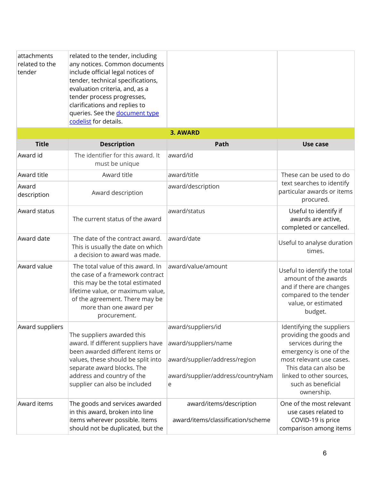| attachments<br>related to the<br>tender | related to the tender, including<br>any notices. Common documents<br>include official legal notices of<br>tender, technical specifications,<br>evaluation criteria, and, as a<br>tender process progresses,<br>clarifications and replies to<br>queries. See the document type<br>codelist for details. |                                                                                                                       |                                                                                                                                                                                                                             |
|-----------------------------------------|---------------------------------------------------------------------------------------------------------------------------------------------------------------------------------------------------------------------------------------------------------------------------------------------------------|-----------------------------------------------------------------------------------------------------------------------|-----------------------------------------------------------------------------------------------------------------------------------------------------------------------------------------------------------------------------|
|                                         |                                                                                                                                                                                                                                                                                                         | <b>3. AWARD</b>                                                                                                       |                                                                                                                                                                                                                             |
| <b>Title</b>                            | <b>Description</b>                                                                                                                                                                                                                                                                                      | Path                                                                                                                  | Use case                                                                                                                                                                                                                    |
| Award id                                | The identifier for this award. It<br>must be unique                                                                                                                                                                                                                                                     | award/id                                                                                                              |                                                                                                                                                                                                                             |
| Award title                             | Award title                                                                                                                                                                                                                                                                                             | award/title                                                                                                           | These can be used to do                                                                                                                                                                                                     |
| Award<br>description                    | Award description                                                                                                                                                                                                                                                                                       | award/description                                                                                                     | text searches to identify<br>particular awards or items<br>procured.                                                                                                                                                        |
| Award status                            | The current status of the award                                                                                                                                                                                                                                                                         | award/status                                                                                                          | Useful to identify if<br>awards are active,<br>completed or cancelled.                                                                                                                                                      |
| Award date                              | The date of the contract award.<br>This is usually the date on which<br>a decision to award was made.                                                                                                                                                                                                   | award/date                                                                                                            | Useful to analyse duration<br>times.                                                                                                                                                                                        |
| Award value                             | The total value of this award. In<br>the case of a framework contract<br>this may be the total estimated<br>lifetime value, or maximum value,<br>of the agreement. There may be<br>more than one award per<br>procurement.                                                                              | award/value/amount                                                                                                    | Useful to identify the total<br>amount of the awards<br>and if there are changes<br>compared to the tender<br>value, or estimated<br>budget.                                                                                |
| Award suppliers                         | The suppliers awarded this<br>award. If different suppliers have<br>been awarded different items or<br>values, these should be split into<br>separate award blocks. The<br>address and country of the<br>supplier can also be included                                                                  | award/suppliers/id<br>award/suppliers/name<br>award/supplier/address/region<br>award/supplier/address/countryNam<br>e | Identifying the suppliers<br>providing the goods and<br>services during the<br>emergency is one of the<br>most relevant use cases.<br>This data can also be<br>linked to other sources,<br>such as beneficial<br>ownership. |
| Award items                             | The goods and services awarded<br>in this award, broken into line<br>items wherever possible. Items<br>should not be duplicated, but the                                                                                                                                                                | award/items/description<br>award/items/classification/scheme                                                          | One of the most relevant<br>use cases related to<br>COVID-19 is price<br>comparison among items                                                                                                                             |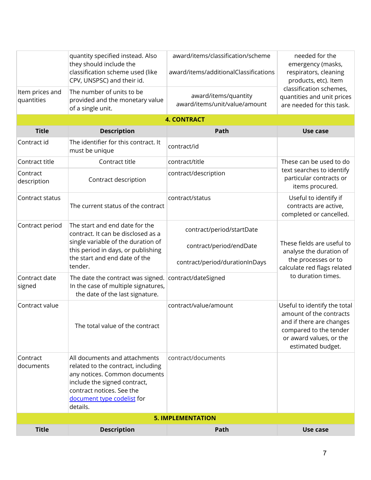|                               | quantity specified instead. Also<br>they should include the<br>classification scheme used (like<br>CPV, UNSPSC) and their id.                                                                               | award/items/classification/scheme<br>award/items/additionalClassifications | needed for the<br>emergency (masks,<br>respirators, cleaning<br>products, etc). Item                                                                          |
|-------------------------------|-------------------------------------------------------------------------------------------------------------------------------------------------------------------------------------------------------------|----------------------------------------------------------------------------|---------------------------------------------------------------------------------------------------------------------------------------------------------------|
| Item prices and<br>quantities | The number of units to be<br>provided and the monetary value<br>of a single unit.                                                                                                                           | award/items/quantity<br>award/items/unit/value/amount                      | classification schemes,<br>quantities and unit prices<br>are needed for this task.                                                                            |
|                               |                                                                                                                                                                                                             | <b>4. CONTRACT</b>                                                         |                                                                                                                                                               |
| <b>Title</b>                  | <b>Description</b>                                                                                                                                                                                          | Path                                                                       | Use case                                                                                                                                                      |
| Contract id                   | The identifier for this contract. It<br>must be unique                                                                                                                                                      | contract/id                                                                |                                                                                                                                                               |
| Contract title                | Contract title                                                                                                                                                                                              | contract/title                                                             | These can be used to do                                                                                                                                       |
| Contract<br>description       | Contract description                                                                                                                                                                                        | contract/description                                                       | text searches to identify<br>particular contracts or<br>items procured.                                                                                       |
| Contract status               | The current status of the contract                                                                                                                                                                          | contract/status                                                            | Useful to identify if<br>contracts are active,<br>completed or cancelled.                                                                                     |
| Contract period               | The start and end date for the<br>contract. It can be disclosed as a                                                                                                                                        | contract/period/startDate                                                  |                                                                                                                                                               |
|                               | single variable of the duration of<br>this period in days, or publishing<br>the start and end date of the                                                                                                   | contract/period/endDate                                                    | These fields are useful to<br>analyse the duration of<br>the processes or to                                                                                  |
|                               | tender.                                                                                                                                                                                                     | contract/period/durationInDays                                             | calculate red flags related                                                                                                                                   |
| Contract date<br>signed       | The date the contract was signed.<br>In the case of multiple signatures,<br>the date of the last signature.                                                                                                 | contract/dateSigned                                                        | to duration times.                                                                                                                                            |
| Contract value                | The total value of the contract                                                                                                                                                                             | contract/value/amount                                                      | Useful to identify the total<br>amount of the contracts<br>and if there are changes<br>compared to the tender<br>or award values, or the<br>estimated budget. |
| Contract<br>documents         | All documents and attachments<br>related to the contract, including<br>any notices. Common documents<br>include the signed contract,<br>contract notices. See the<br>document type codelist for<br>details. | contract/documents                                                         |                                                                                                                                                               |
|                               |                                                                                                                                                                                                             | <b>5. IMPLEMENTATION</b>                                                   |                                                                                                                                                               |
| <b>Title</b>                  | <b>Description</b>                                                                                                                                                                                          | Path                                                                       | Use case                                                                                                                                                      |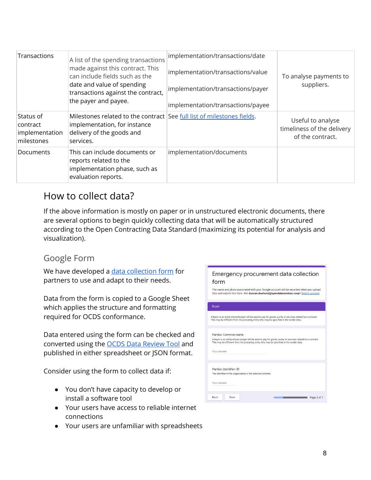| Transactions                                          | A list of the spending transactions<br>made against this contract. This<br>can include fields such as the<br>date and value of spending<br>transactions against the contract,<br>the payer and payee. | implementation/transactions/date<br>implementation/transactions/value<br>implementation/transactions/payer<br>implementation/transactions/payee | To analyse payments to<br>suppliers.                                |
|-------------------------------------------------------|-------------------------------------------------------------------------------------------------------------------------------------------------------------------------------------------------------|-------------------------------------------------------------------------------------------------------------------------------------------------|---------------------------------------------------------------------|
| Status of<br>contract<br>implementation<br>milestones | Milestones related to the contract See full list of milestones fields.<br>implementation, for instance<br>delivery of the goods and<br>services.                                                      |                                                                                                                                                 | Useful to analyse<br>timeliness of the delivery<br>of the contract. |
| <b>Documents</b>                                      | This can include documents or<br>reports related to the<br>implementation phase, such as<br>evaluation reports.                                                                                       | implementation/documents                                                                                                                        |                                                                     |

#### <span id="page-7-0"></span>How to collect data?

If the above information is mostly on paper or in unstructured electronic documents, there are several options to begin quickly collecting data that will be automatically structured according to the Open Contracting Data Standard (maximizing its potential for analysis and visualization).

#### <span id="page-7-1"></span>Google Form

We have developed a data [collection](https://www.open-contracting.org/?post_type=resource&p=9646) form for partners to use and adapt to their needs.

Data from the form is copied to a Google Sheet which applies the structure and formatting required for OCDS conformance.

Data entered using the form can be checked and converted using the OCDS Data [Review](https://standard.open-contracting.org/review/) Tool and published in either spreadsheet or JSON format.

Consider using the form to collect data if:

- You don't have capacity to develop or install a software tool
- Your users have access to reliable internet connections
- Your users are unfamiliar with spreadsheets

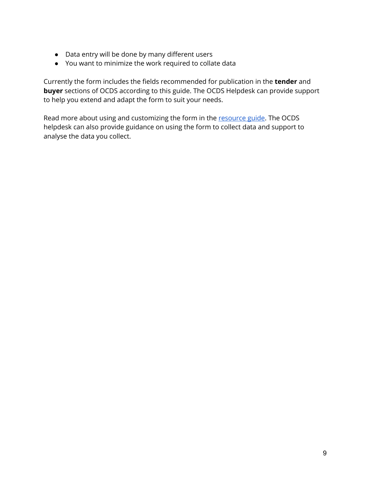- Data entry will be done by many different users
- You want to minimize the work required to collate data

Currently the form includes the fields recommended for publication in the **tender** and **buyer** sections of OCDS according to this guide. The OCDS Helpdesk can provide support to help you extend and adapt the form to suit your needs.

Read more about using and customizing the form in the [resource](https://www.open-contracting.org/?post_type=resource&p=9646) guide. The OCDS helpdesk can also provide guidance on using the form to collect data and support to analyse the data you collect.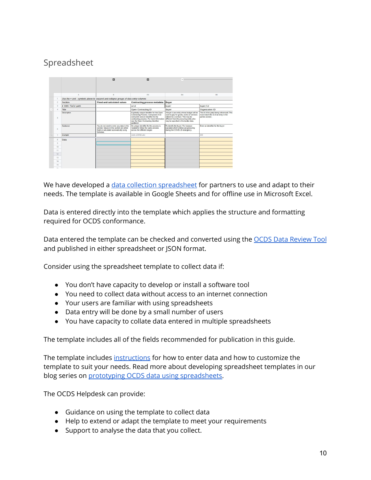#### <span id="page-9-0"></span>Spreadsheet

|               |                   | 四                                                                                                                                               | 四                                                                                                                                                                                                                                                                  |                                                                                                                                                                     |                                                                                                        |
|---------------|-------------------|-------------------------------------------------------------------------------------------------------------------------------------------------|--------------------------------------------------------------------------------------------------------------------------------------------------------------------------------------------------------------------------------------------------------------------|---------------------------------------------------------------------------------------------------------------------------------------------------------------------|--------------------------------------------------------------------------------------------------------|
|               | A                 | B                                                                                                                                               | AX                                                                                                                                                                                                                                                                 | <b>BA</b>                                                                                                                                                           | <b>BB</b>                                                                                              |
|               |                   | Use the + and - symbols above to expand and collapse groups of data entry columns                                                               |                                                                                                                                                                                                                                                                    |                                                                                                                                                                     |                                                                                                        |
| $\mathcal{D}$ | Section           | <b>Fixed and calculated values</b>                                                                                                              | <b>Contracting process metadata</b>                                                                                                                                                                                                                                | <b>Buyer</b>                                                                                                                                                        |                                                                                                        |
| 3             | # OCDS field path |                                                                                                                                                 | ocid                                                                                                                                                                                                                                                               | buyer                                                                                                                                                               | buver/id                                                                                               |
|               | Title             |                                                                                                                                                 | Open Contracting ID                                                                                                                                                                                                                                                | Buver                                                                                                                                                               | Organization ID                                                                                        |
| 5             | Description       |                                                                                                                                                 | A globally unique identifier for this Open<br>Contracting Process. Composed of an<br>ocid prefix and an identifier for the<br>contracting process. For more information different from the procuring entity who<br>see the Open Contracting Identifier<br>quidance | A buyer is an entity whose budget will be<br>used to pay for goods, works or services<br>related to a contract. This may be<br>may be specified in the tender data. | The id of the party being referenced. This<br>must match the id of an entry in the<br>parties section. |
| 6             | Guidance          | You do not need to enter any data in this<br>section. Values in this section are either<br>fixed or calculated automatically using<br>formulae. | An unique identifier for the process is<br>needed to follow the same process<br>across the different stages                                                                                                                                                        | To identify the buyer. For instance<br>calculate which entities are procuring<br>during the COVID-19 emergency.                                                     | Enter an identifier for the buyer                                                                      |
| 7             | Example           |                                                                                                                                                 | oods-123456-abc                                                                                                                                                                                                                                                    |                                                                                                                                                                     | 001                                                                                                    |
| 8             | <b>Data</b>       |                                                                                                                                                 |                                                                                                                                                                                                                                                                    |                                                                                                                                                                     |                                                                                                        |
| Q             |                   |                                                                                                                                                 |                                                                                                                                                                                                                                                                    |                                                                                                                                                                     |                                                                                                        |
| 10            |                   |                                                                                                                                                 |                                                                                                                                                                                                                                                                    |                                                                                                                                                                     |                                                                                                        |
| 11            |                   |                                                                                                                                                 |                                                                                                                                                                                                                                                                    |                                                                                                                                                                     |                                                                                                        |
| 12            |                   |                                                                                                                                                 |                                                                                                                                                                                                                                                                    |                                                                                                                                                                     |                                                                                                        |
| 13            |                   |                                                                                                                                                 |                                                                                                                                                                                                                                                                    |                                                                                                                                                                     |                                                                                                        |
| 14            |                   |                                                                                                                                                 |                                                                                                                                                                                                                                                                    |                                                                                                                                                                     |                                                                                                        |
| 15            |                   |                                                                                                                                                 |                                                                                                                                                                                                                                                                    |                                                                                                                                                                     |                                                                                                        |
|               |                   |                                                                                                                                                 |                                                                                                                                                                                                                                                                    |                                                                                                                                                                     |                                                                                                        |

We have developed a data collection [spreadsheet](https://www.open-contracting.org/resources/data-collection-spreadsheet/) for partners to use and adapt to their needs. The template is available in Google Sheets and for offline use in Microsoft Excel.

Data is entered directly into the template which applies the structure and formatting required for OCDS conformance.

Data entered the template can be checked and converted using the OCDS Data [Review](https://standard.open-contracting.org/review/) Tool and published in either spreadsheet or JSON format.

Consider using the spreadsheet template to collect data if:

- You don't have capacity to develop or install a software tool
- You need to collect data without access to an internet connection
- Your users are familiar with using spreadsheets
- Data entry will be done by a small number of users
- You have capacity to collate data entered in multiple spreadsheets

The template includes all of the fields recommended for publication in this guide.

The template includes [instructions](https://docs.google.com/spreadsheets/d/1TzY16n8fFtG11sM-6pp693ZMgfMgkiScMFpF-cJKkIk) for how to enter data and how to customize the template to suit your needs. Read more about developing spreadsheet templates in our blog series on prototyping OCDS data using [spreadsheets.](https://www.open-contracting.org/2020/04/24/prototyping-ocds-data-using-spreadsheets/)

The OCDS Helpdesk can provide:

- Guidance on using the template to collect data
- Help to extend or adapt the template to meet your requirements
- Support to analyse the data that you collect.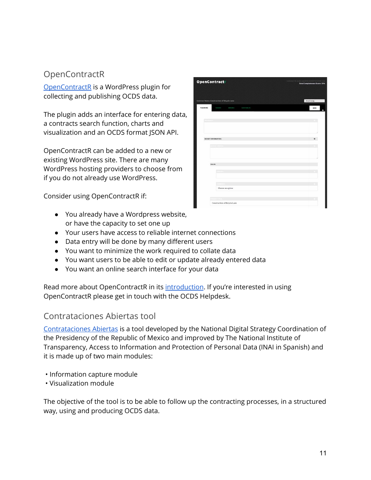#### <span id="page-10-0"></span>**OpenContractR**

[OpenContractR](https://github.com/patxiworks/opencontractr) is a WordPress plugin for collecting and publishing OCDS data.

The plugin adds an interface for entering data, a contracts search function, charts and visualization and an OCDS format JSON API.

OpenContractR can be added to a new or existing WordPress site. There are many WordPress hosting providers to choose from if you do not already use WordPress.

Consider using OpenContractR if:

- You already have a Wordpress website, or have the capacity to set one up
- Your users have access to reliable internet connections
- Data entry will be done by many different users
- You want to minimize the work required to collate data
- You want users to be able to edit or update already entered data
- You want an online search interface for your data

Read more about OpenContractR in its [introduction](https://drive.google.com/file/d/18WHnQcnA6oESZtcZgS4rgaBLjd8BKvbM/view). If you're interested in using OpenContractR please get in touch with the OCDS Helpdesk.

#### Contrataciones Abiertas tool

[Contrataciones](https://github.com/INAImexico/Contrataciones_abiertas_v2) Abiertas is a tool developed by the National Digital Strategy Coordination of the Presidency of the Republic of Mexico and improved by The National Institute of Transparency, Access to Information and Protection of Personal Data (INAI in Spanish) and it is made up of two main modules:

- Information capture module
- Visualization module

The objective of the tool is to be able to follow up the contracting processes, in a structured way, using and producing OCDS data.

|                     | <b>OpenContract</b>                                | Contract the solo-approval-Odkit/Vel-201<br>Data Completeness Score: 32% |
|---------------------|----------------------------------------------------|--------------------------------------------------------------------------|
|                     | <b>Contract Name: Construction of Bicycle Lane</b> | Attach a tag                                                             |
| PLANNING            | TENSON<br>AWARDS<br>CONTRACTR                      | <b>SAVE</b>                                                              |
|                     |                                                    |                                                                          |
| <b>Tribund Eric</b> |                                                    |                                                                          |
|                     |                                                    |                                                                          |
|                     | <b>BUDGET INFORMATION:</b>                         | o                                                                        |
|                     | -----------                                        |                                                                          |
|                     |                                                    |                                                                          |
|                     |                                                    |                                                                          |
|                     | <b>VALUE:</b>                                      |                                                                          |
|                     | <b>CONTRACTOR</b>                                  |                                                                          |
|                     |                                                    |                                                                          |
|                     | Choose an option                                   |                                                                          |
|                     |                                                    |                                                                          |
|                     | Construction of Bicycle Lane                       |                                                                          |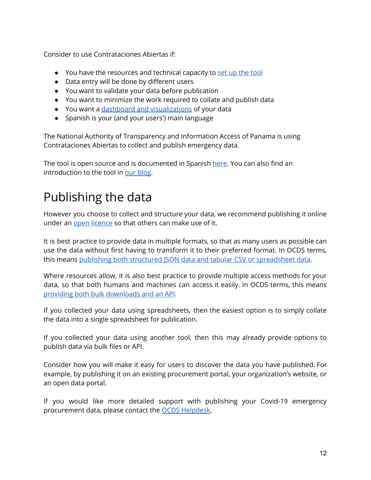Consider to use Contrataciones Abiertas if:

- You have the resources and technical capacity to set up the [tool](https://github.com/INAImexico/Contrataciones_abiertas_v2/raw/master/Manual%20de%20instalaci%C3%B3n.docx)
- Data entry will be done by different users
- You want to validate your data before publication
- You want to minimize the work required to collate and publish data
- You want a dashboard and [visualizations](https://www.open-contracting.org/2020/06/12/mexicos-inai-launches-new-open-source-tool-to-upload-and-visualize-open-contracting-data/) of your data
- Spanish is your (and your users') main language

The National Authority of Transparency and Information Access of Panama is using Contrataciones Abiertas to collect and publish emergency data.

The tool is open source and is documented in Spanish [here.](https://github.com/INAImexico/Contrataciones_abiertas_v2) You can also find an introduction to the tool in our [blog](https://www.open-contracting.org/2020/06/12/mexicos-inai-launches-new-open-source-tool-to-upload-and-visualize-open-contracting-data/).

### <span id="page-11-0"></span>Publishing the data

However you choose to collect and structure your data, we recommend publishing it online under an open [licence](https://standard.open-contracting.org/implementation-journey/en/guidance/publish/licensing/) so that others can make use of it.

It is best practice to provide data in multiple formats, so that as many users as possible can use the data without first having to transform it to their preferred format. In OCDS terms, thi[s](https://standard.open-contracting.org/latest/en/implementation/serialization/) means publishing both structured JSON data and tabular CSV or [spreadsheet](https://standard.open-contracting.org/latest/en/implementation/serialization/) data.

Where resources allow, it is also best practice to provide multiple access methods for your data, so that both humans and machines can access it easily. In OCDS terms, this mean[s](https://standard.open-contracting.org/latest/en/implementation/hosting/) providing both bulk [downloads](https://standard.open-contracting.org/latest/en/implementation/hosting/) and an API.

If you collected your data using spreadsheets, then the easiest option is to simply collate the data into a single spreadsheet for publication.

If you collected your data using another tool, then this may already provide options to publish data via bulk files or API.

Consider how you will make it easy for users to discover the data you have published. For example, by publishing it on an existing procurement portal, your organization's website, or an open data portal.

If you would like more detailed support with publishing your Covid-19 emergency procurement data, please contact the OCDS [Helpdesk](mailto:data@open-contracting.org).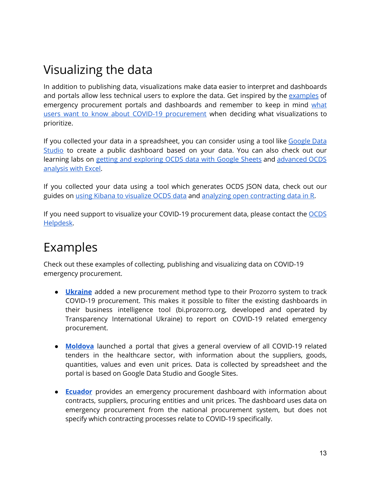### <span id="page-12-0"></span>Visualizing the data

In addition to publishing data, visualizations make data easier to interpret and dashboards and portals allow less technical users to explore the data. Get inspired by the [examples](#page-12-1) of emergency procurement portals and dashboards and remember to keep in mind [what](#page-1-2) users want to know about COVID-19 [procurement](#page-1-2) when deciding what visualizations to prioritize.

If you collected your data in a spreadsheet, you can consider using a tool like [Google](https://datastudio.google.com/) Data [Studio](https://datastudio.google.com/) to create a public dashboard based on your data. You can also check out our learning labs on getting and [exploring](https://docs.google.com/document/d/1HF9sv_Q9DSsPEqBNtRnh-ub5HZOM_byJuTULIrlHrAo/edit#heading=h.av75mop4yfhn) OCDS data with Google Sheets and [advanced](https://docs.google.com/document/d/1GAAn34cZxON9Co7U8GApQzGfzf-aKKqrLrmXMdjCIvc/edit#) OCDS [analysis](https://docs.google.com/document/d/1GAAn34cZxON9Co7U8GApQzGfzf-aKKqrLrmXMdjCIvc/edit#) with Excel.

If you collected your data using a tool which generates OCDS JSON data, check out our guides on using Kibana to [visualize](https://manualkibanaocds.readthedocs.io/en/latest/) OCDS data and analyzing open [contracting](https://open-contracting.github.io/ocds-r-manual/) data in R.

If you need support to visualize your COVID-19 procurement data, please contact the [OCDS](mailto:data@open-contracting.org) [Helpdesk.](mailto:data@open-contracting.org)

### <span id="page-12-1"></span>Examples

Check out these examples of collecting, publishing and visualizing data on COVID-19 emergency procurement.

- **[Ukraine](https://docs.google.com/document/d/1dBDIjDiCb_dOD80Nwz83YjZ7eY84uKL_ZiI-6KhbLNw/edit)** added a new procurement method type to their Prozorro system to track COVID-19 procurement. This makes it possible to filter the existing dashboards in their business intelligence tool (bi.prozorro.org, developed and operated by Transparency International Ukraine) to report on COVID-19 related emergency procurement.
- **[Moldova](https://sites.google.com/view/covidprocurementmoldova/Home)** launched a portal that gives a general overview of all COVID-19 related tenders in the healthcare sector, with information about the suppliers, goods, quantities, values and even unit prices. Data is collected by spreadsheet and the portal is based on Google Data Studio and Google Sites.
- **[Ecuador](https://portal.compraspublicas.gob.ec/sercop/datos_abiertos/)** provides an emergency procurement dashboard with information about contracts, suppliers, procuring entities and unit prices. The dashboard uses data on emergency procurement from the national procurement system, but does not specify which contracting processes relate to COVID-19 specifically.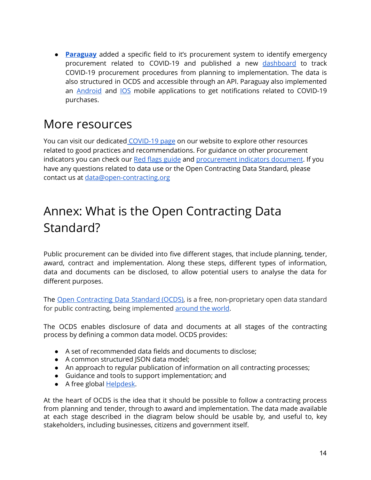● **[Paraguay](https://docs.google.com/document/d/1g5b81oVA4RyKWmY_ElM8exoFTrHg_XNpXJrFX-rPAmQ/edit)** added a specific field to it's procurement system to identify emergency procurement related to COVID-19 and published a new [dashboard](https://www.contrataciones.gov.py/dncp/sie.html#adjudicaciones-covid) to track COVID-19 procurement procedures from planning to implementation. The data is also structured in OCDS and accessible through an API. Paraguay also implemented an [Android](https://apps.apple.com/us/app/dncp-notificaciones/id1497437565?l=es) and [IOS](https://apps.apple.com/us/app/dncp-notificaciones/id1497437565?l=es) mobile applications to get notifications related to COVID-19 purchases.

### <span id="page-13-0"></span>More resources

You can visit our dedicated [COVID-19](https://www.open-contracting.org/what-is-open-contracting/covid19/) page on our website to explore other resources related to good practices and recommendations. For guidance on other procurement indicators you can check our Red flags [guide](https://www.open-contracting.org/wp-content/uploads/2016/11/OCP2016-Red-flags-for-integrityshared.pdf) and [procurement](https://docs.google.com/document/d/1vSJk9-qWSTQEx9ZZc7BUhQZMHvTRcyDYVS2sl8HB__k/edit) indicators document. If you have any questions related to data use or the Open Contracting Data Standard, please contact us at [data@open-contracting.org](mailto:data@open-contracting.org)

### <span id="page-13-1"></span>Annex: What is the Open Contracting Data Standard?

Public procurement can be divided into five different stages, that include planning, tender, award, contract and implementation. Along these steps, different types of information, data and documents can be disclosed, to allow potential users to analyse the data for different purposes.

The Open [Contracting](http://standard.open-contracting.org/) Data Standard (OCDS), is a free, non-proprietary open data standard for public contracting, being implemented [around](https://www.open-contracting.org/why-open-contracting/worldwide/#/) the world.

The OCDS enables disclosure of data and documents at all stages of the contracting process by defining a common data model. OCDS provides:

- A set of recommended data fields and documents to disclose;
- A common structured JSON data model;
- An approach to regular publication of information on all contracting processes;
- Guidance and tools to support implementation; and
- A free global [Helpdesk.](mailto:data@open-contracting.org)

At the heart of OCDS is the idea that it should be possible to follow a contracting process from planning and tender, through to award and implementation. The data made available at each stage described in the diagram below should be usable by, and useful to, key stakeholders, including businesses, citizens and government itself.